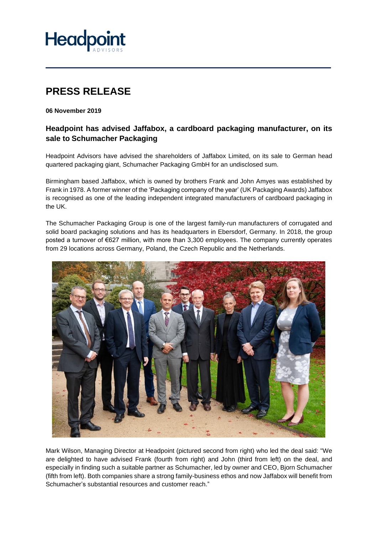

## **PRESS RELEASE**

**06 November 2019**

## **Headpoint has advised Jaffabox, a cardboard packaging manufacturer, on its sale to Schumacher Packaging**

Headpoint Advisors have advised the shareholders of Jaffabox Limited, on its sale to German head quartered packaging giant, Schumacher Packaging GmbH for an undisclosed sum.

Birmingham based Jaffabox, which is owned by brothers Frank and John Amyes was established by Frank in 1978. A former winner of the 'Packaging company of the year' (UK Packaging Awards) Jaffabox is recognised as one of the leading independent integrated manufacturers of cardboard packaging in the UK.

The Schumacher Packaging Group is one of the largest family-run manufacturers of corrugated and solid board packaging solutions and has its headquarters in Ebersdorf, Germany. In 2018, the group posted a turnover of €627 million, with more than 3,300 employees. The company currently operates from 29 locations across Germany, Poland, the Czech Republic and the Netherlands.



Mark Wilson, Managing Director at Headpoint (pictured second from right) who led the deal said: "We are delighted to have advised Frank (fourth from right) and John (third from left) on the deal, and especially in finding such a suitable partner as Schumacher, led by owner and CEO, Bjorn Schumacher (fifth from left). Both companies share a strong family-business ethos and now Jaffabox will benefit from Schumacher's substantial resources and customer reach."